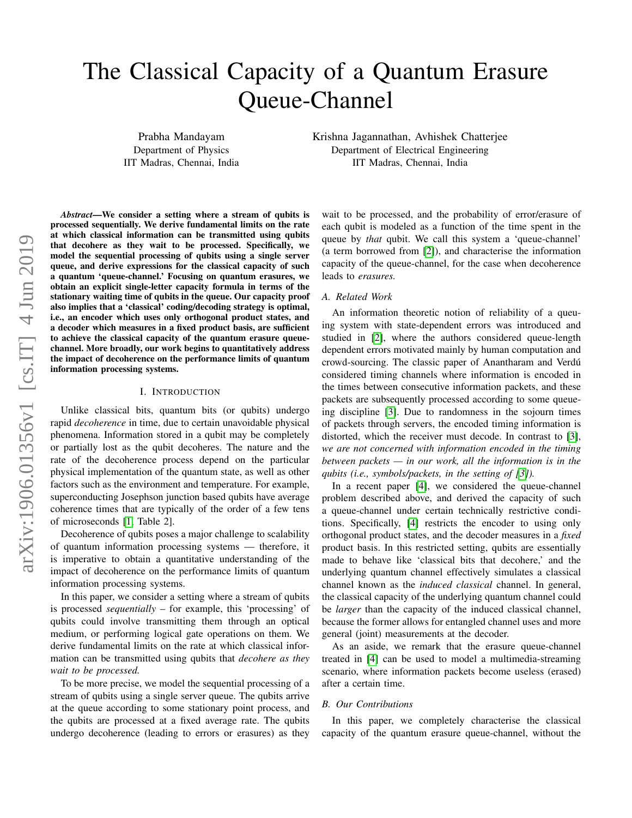# The Classical Capacity of a Quantum Erasure Queue-Channel

Prabha Mandayam Department of Physics IIT Madras, Chennai, India Krishna Jagannathan, Avhishek Chatterjee Department of Electrical Engineering IIT Madras, Chennai, India

*Abstract*—We consider a setting where a stream of qubits is processed sequentially. We derive fundamental limits on the rate at which classical information can be transmitted using qubits that decohere as they wait to be processed. Specifically, we model the sequential processing of qubits using a single server queue, and derive expressions for the classical capacity of such a quantum 'queue-channel.' Focusing on quantum erasures, we obtain an explicit single-letter capacity formula in terms of the stationary waiting time of qubits in the queue. Our capacity proof also implies that a 'classical' coding/decoding strategy is optimal, i.e., an encoder which uses only orthogonal product states, and a decoder which measures in a fixed product basis, are sufficient to achieve the classical capacity of the quantum erasure queuechannel. More broadly, our work begins to quantitatively address the impact of decoherence on the performance limits of quantum information processing systems.

#### I. INTRODUCTION

Unlike classical bits, quantum bits (or qubits) undergo rapid *decoherence* in time, due to certain unavoidable physical phenomena. Information stored in a qubit may be completely or partially lost as the qubit decoheres. The nature and the rate of the decoherence process depend on the particular physical implementation of the quantum state, as well as other factors such as the environment and temperature. For example, superconducting Josephson junction based qubits have average coherence times that are typically of the order of a few tens of microseconds [\[1,](#page-5-0) Table 2].

Decoherence of qubits poses a major challenge to scalability of quantum information processing systems — therefore, it is imperative to obtain a quantitative understanding of the impact of decoherence on the performance limits of quantum information processing systems.

In this paper, we consider a setting where a stream of qubits is processed *sequentially* – for example, this 'processing' of qubits could involve transmitting them through an optical medium, or performing logical gate operations on them. We derive fundamental limits on the rate at which classical information can be transmitted using qubits that *decohere as they wait to be processed.*

To be more precise, we model the sequential processing of a stream of qubits using a single server queue. The qubits arrive at the queue according to some stationary point process, and the qubits are processed at a fixed average rate. The qubits undergo decoherence (leading to errors or erasures) as they

wait to be processed, and the probability of error/erasure of each qubit is modeled as a function of the time spent in the queue by *that* qubit. We call this system a 'queue-channel' (a term borrowed from [\[2\]](#page-5-1)), and characterise the information capacity of the queue-channel, for the case when decoherence leads to *erasures.*

#### *A. Related Work*

An information theoretic notion of reliability of a queuing system with state-dependent errors was introduced and studied in [\[2\]](#page-5-1), where the authors considered queue-length dependent errors motivated mainly by human computation and crowd-sourcing. The classic paper of Anantharam and Verdu´ considered timing channels where information is encoded in the times between consecutive information packets, and these packets are subsequently processed according to some queueing discipline [\[3\]](#page-5-2). Due to randomness in the sojourn times of packets through servers, the encoded timing information is distorted, which the receiver must decode. In contrast to [\[3\]](#page-5-2), *we are not concerned with information encoded in the timing between packets — in our work, all the information is in the qubits (i.e., symbols/packets, in the setting of [\[3\]](#page-5-2)).*

In a recent paper [\[4\]](#page-5-3), we considered the queue-channel problem described above, and derived the capacity of such a queue-channel under certain technically restrictive conditions. Specifically, [\[4\]](#page-5-3) restricts the encoder to using only orthogonal product states, and the decoder measures in a *fixed* product basis. In this restricted setting, qubits are essentially made to behave like 'classical bits that decohere,' and the underlying quantum channel effectively simulates a classical channel known as the *induced classical* channel. In general, the classical capacity of the underlying quantum channel could be *larger* than the capacity of the induced classical channel, because the former allows for entangled channel uses and more general (joint) measurements at the decoder.

As an aside, we remark that the erasure queue-channel treated in [\[4\]](#page-5-3) can be used to model a multimedia-streaming scenario, where information packets become useless (erased) after a certain time.

## *B. Our Contributions*

In this paper, we completely characterise the classical capacity of the quantum erasure queue-channel, without the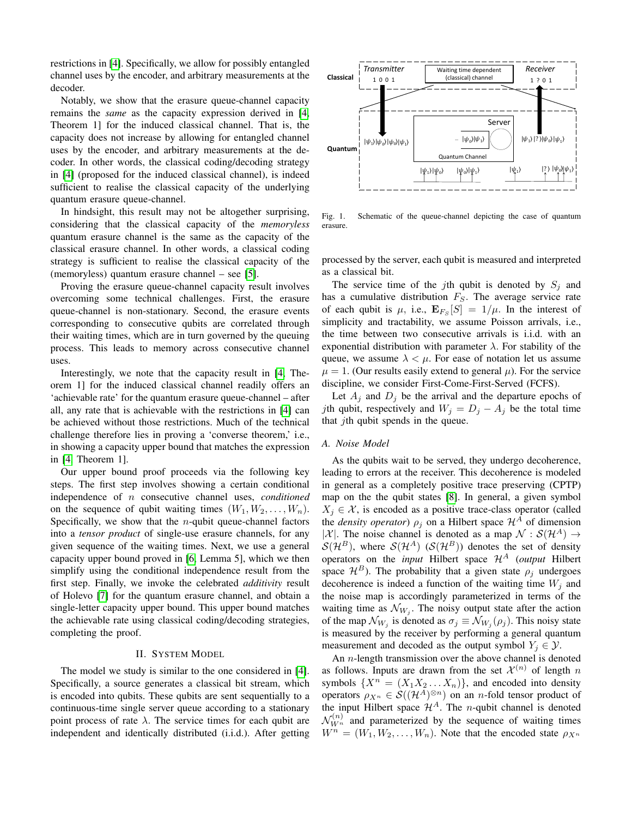restrictions in [\[4\]](#page-5-3). Specifically, we allow for possibly entangled channel uses by the encoder, and arbitrary measurements at the decoder.

Notably, we show that the erasure queue-channel capacity remains the *same* as the capacity expression derived in [\[4,](#page-5-3) Theorem 1] for the induced classical channel. That is, the capacity does not increase by allowing for entangled channel uses by the encoder, and arbitrary measurements at the decoder. In other words, the classical coding/decoding strategy in [\[4\]](#page-5-3) (proposed for the induced classical channel), is indeed sufficient to realise the classical capacity of the underlying quantum erasure queue-channel.

In hindsight, this result may not be altogether surprising, considering that the classical capacity of the *memoryless* quantum erasure channel is the same as the capacity of the classical erasure channel. In other words, a classical coding strategy is sufficient to realise the classical capacity of the (memoryless) quantum erasure channel – see [\[5\]](#page-5-4).

Proving the erasure queue-channel capacity result involves overcoming some technical challenges. First, the erasure queue-channel is non-stationary. Second, the erasure events corresponding to consecutive qubits are correlated through their waiting times, which are in turn governed by the queuing process. This leads to memory across consecutive channel uses.

Interestingly, we note that the capacity result in [\[4,](#page-5-3) Theorem 1] for the induced classical channel readily offers an 'achievable rate' for the quantum erasure queue-channel – after all, any rate that is achievable with the restrictions in [\[4\]](#page-5-3) can be achieved without those restrictions. Much of the technical challenge therefore lies in proving a 'converse theorem,' i.e., in showing a capacity upper bound that matches the expression in [\[4,](#page-5-3) Theorem 1].

Our upper bound proof proceeds via the following key steps. The first step involves showing a certain conditional independence of n consecutive channel uses, *conditioned* on the sequence of qubit waiting times  $(W_1, W_2, \ldots, W_n)$ . Specifically, we show that the  $n$ -qubit queue-channel factors into a *tensor product* of single-use erasure channels, for any given sequence of the waiting times. Next, we use a general capacity upper bound proved in [\[6,](#page-5-5) Lemma 5], which we then simplify using the conditional independence result from the first step. Finally, we invoke the celebrated *additivity* result of Holevo [\[7\]](#page-5-6) for the quantum erasure channel, and obtain a single-letter capacity upper bound. This upper bound matches the achievable rate using classical coding/decoding strategies, completing the proof.

## II. SYSTEM MODEL

<span id="page-1-0"></span>The model we study is similar to the one considered in [\[4\]](#page-5-3). Specifically, a source generates a classical bit stream, which is encoded into qubits. These qubits are sent sequentially to a continuous-time single server queue according to a stationary point process of rate  $\lambda$ . The service times for each qubit are independent and identically distributed (i.i.d.). After getting



Fig. 1. Schematic of the queue-channel depicting the case of quantum erasure.

processed by the server, each qubit is measured and interpreted as a classical bit.

The service time of the jth qubit is denoted by  $S_i$  and has a cumulative distribution  $F_S$ . The average service rate of each qubit is  $\mu$ , i.e.,  $\mathbf{E}_{F_S}[S] = 1/\mu$ . In the interest of simplicity and tractability, we assume Poisson arrivals, i.e., the time between two consecutive arrivals is i.i.d. with an exponential distribution with parameter  $\lambda$ . For stability of the queue, we assume  $\lambda < \mu$ . For ease of notation let us assume  $\mu = 1$ . (Our results easily extend to general  $\mu$ ). For the service discipline, we consider First-Come-First-Served (FCFS).

Let  $A_j$  and  $D_j$  be the arrival and the departure epochs of jth qubit, respectively and  $W_j = D_j - A_j$  be the total time that *j*th qubit spends in the queue.

#### *A. Noise Model*

As the qubits wait to be served, they undergo decoherence, leading to errors at the receiver. This decoherence is modeled in general as a completely positive trace preserving (CPTP) map on the the qubit states [\[8\]](#page-5-7). In general, a given symbol  $X_i \in \mathcal{X}$ , is encoded as a positive trace-class operator (called the *density operator*)  $\rho_i$  on a Hilbert space  $\mathcal{H}^A$  of dimension |X|. The noise channel is denoted as a map  $\mathcal{N} : \mathcal{S}(\mathcal{H}^A) \rightarrow$  $\mathcal{S}(\mathcal{H}^B)$ , where  $\mathcal{S}(\mathcal{H}^A)$  ( $\mathcal{S}(\mathcal{H}^B)$ ) denotes the set of density operators on the *input* Hilbert space  $\mathcal{H}^A$  (*output* Hilbert space  $\mathcal{H}^B$ ). The probability that a given state  $\rho_i$  undergoes decoherence is indeed a function of the waiting time  $W_i$  and the noise map is accordingly parameterized in terms of the waiting time as  $\mathcal{N}_{W_j}$ . The noisy output state after the action of the map  $\mathcal{N}_{W_j}$  is denoted as  $\sigma_j \equiv \mathcal{N}_{W_j}(\rho_j)$ . This noisy state is measured by the receiver by performing a general quantum measurement and decoded as the output symbol  $Y_i \in \mathcal{Y}$ .

An  $n$ -length transmission over the above channel is denoted as follows. Inputs are drawn from the set  $\mathcal{X}^{(n)}$  of length n symbols  $\{X^n = (X_1X_2...X_n)\}\$ , and encoded into density operators  $\rho_{X^n} \in \mathcal{S}((\mathcal{H}^A)^{\otimes n})$  on an *n*-fold tensor product of the input Hilbert space  $\mathcal{H}^A$ . The *n*-qubit channel is denoted  $\mathcal{N}_{W^n}^{(n)}$  and parameterized by the sequence of waiting times  $W^n = (W_1, W_2, \ldots, W_n)$ . Note that the encoded state  $\rho_{X^n}$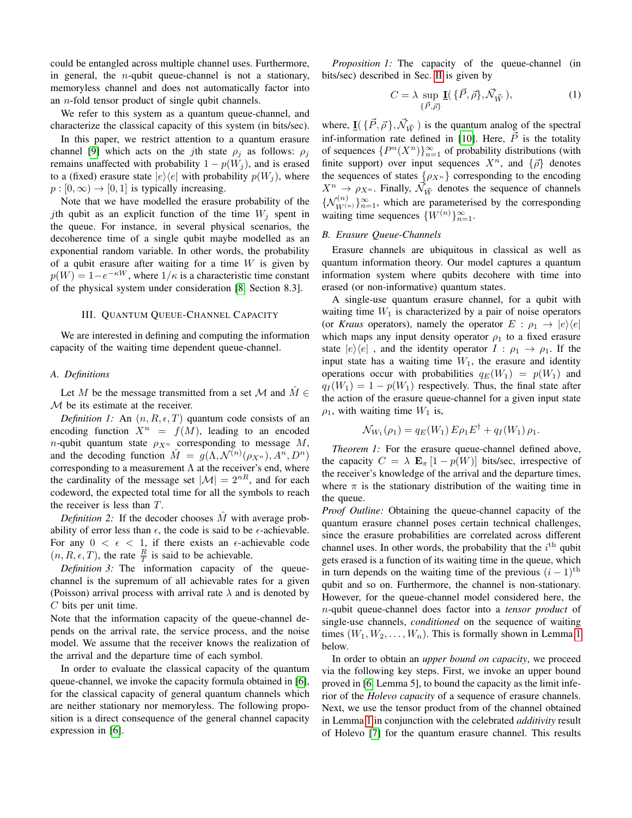could be entangled across multiple channel uses. Furthermore, in general, the *n*-qubit queue-channel is not a stationary, memoryless channel and does not automatically factor into an n-fold tensor product of single qubit channels.

We refer to this system as a quantum queue-channel, and characterize the classical capacity of this system (in bits/sec).

In this paper, we restrict attention to a quantum erasure channel [\[9\]](#page-5-8) which acts on the *j*th state  $\rho_j$  as follows:  $\rho_j$ remains unaffected with probability  $1 - p(W_j)$ , and is erased to a (fixed) erasure state  $|e\rangle\langle e|$  with probability  $p(W_i)$ , where  $p : [0, \infty) \to [0, 1]$  is typically increasing.

Note that we have modelled the erasure probability of the jth qubit as an explicit function of the time  $W_i$  spent in the queue. For instance, in several physical scenarios, the decoherence time of a single qubit maybe modelled as an exponential random variable. In other words, the probability of a qubit erasure after waiting for a time  $W$  is given by  $p(W) = 1 - e^{-\kappa W}$ , where  $1/\kappa$  is a characteristic time constant of the physical system under consideration [\[8,](#page-5-7) Section 8.3].

#### III. QUANTUM QUEUE-CHANNEL CAPACITY

We are interested in defining and computing the information capacity of the waiting time dependent queue-channel.

#### *A. Definitions*

Let M be the message transmitted from a set M and  $\tilde{M} \in$ M be its estimate at the receiver.

*Definition 1:* An  $(n, R, \epsilon, T)$  quantum code consists of an encoding function  $X^n = f(M)$ , leading to an encoded *n*-qubit quantum state  $\rho_{X^n}$  corresponding to message M, and the decoding function  $\hat{M} = g(\Lambda, \mathcal{N}^{(n)}(\rho_{X^n}), A^n, D^n)$ corresponding to a measurement  $\Lambda$  at the receiver's end, where the cardinality of the message set  $|\mathcal{M}| = 2^{nR}$ , and for each codeword, the expected total time for all the symbols to reach the receiver is less than T.

*Definition 2:* If the decoder chooses  $\hat{M}$  with average probability of error less than  $\epsilon$ , the code is said to be  $\epsilon$ -achievable. For any  $0 < \epsilon < 1$ , if there exists an  $\epsilon$ -achievable code  $(n, R, \epsilon, T)$ , the rate  $\frac{R}{T}$  is said to be achievable.

*Definition 3:* The information capacity of the queuechannel is the supremum of all achievable rates for a given (Poisson) arrival process with arrival rate  $\lambda$  and is denoted by C bits per unit time.

Note that the information capacity of the queue-channel depends on the arrival rate, the service process, and the noise model. We assume that the receiver knows the realization of the arrival and the departure time of each symbol.

In order to evaluate the classical capacity of the quantum queue-channel, we invoke the capacity formula obtained in [\[6\]](#page-5-5), for the classical capacity of general quantum channels which are neither stationary nor memoryless. The following proposition is a direct consequence of the general channel capacity expression in [\[6\]](#page-5-5).

*Proposition 1:* The capacity of the queue-channel (in bits/sec) described in Sec. [II](#page-1-0) is given by

<span id="page-2-0"></span>
$$
C = \lambda \sup_{\{\vec{P}, \vec{\rho}\}} \underline{\mathbf{I}}(\{\vec{P}, \vec{\rho}\}, \vec{\mathcal{N}}_{\vec{W}}), \tag{1}
$$

where,  $\underline{\mathbf{I}}(\{\vec{P}, \vec{\rho}\}, \vec{\mathcal{N}}_{\vec{W}})$  is the quantum analog of the spectral inf-information rate defined in [\[10\]](#page-5-9). Here,  $\vec{P}$  is the totality of sequences  $\{P^n(X^n)\}_{n=1}^{\infty}$  of probability distributions (with finite support) over input sequences  $X^n$ , and  $\{\vec{\rho}\}$  denotes the sequences of states  $\{\rho_{X^n}\}\)$  corresponding to the encoding  $X^n \rightarrow \rho_{X^n}$ . Finally,  $\overrightarrow{\mathcal{N}}_{\overrightarrow{W}}$  denotes the sequence of channels  $\{N_{W^{(n)}}^{(n)}\}_{n=1}^{\infty}$ , which are parameterised by the corresponding waiting time sequences  $\{W^{(n)}\}_{n=1}^{\infty}$ .

## *B. Erasure Queue-Channels*

Erasure channels are ubiquitous in classical as well as quantum information theory. Our model captures a quantum information system where qubits decohere with time into erased (or non-informative) quantum states.

A single-use quantum erasure channel, for a qubit with waiting time  $W_1$  is characterized by a pair of noise operators (or *Kraus* operators), namely the operator  $E : \rho_1 \rightarrow |e\rangle\langle e|$ which maps any input density operator  $\rho_1$  to a fixed erasure state  $|e\rangle\langle e|$ , and the identity operator  $I : \rho_1 \to \rho_1$ . If the input state has a waiting time  $W_1$ , the erasure and identity operations occur with probabilities  $q_E(W_1) = p(W_1)$  and  $q_I(W_1) = 1 - p(W_1)$  respectively. Thus, the final state after the action of the erasure queue-channel for a given input state  $\rho_1$ , with waiting time  $W_1$  is,

$$
\mathcal{N}_{W_1}(\rho_1) = q_E(W_1) E \rho_1 E^{\dagger} + q_I(W_1) \rho_1.
$$

*Theorem 1:* For the erasure queue-channel defined above, the capacity  $C = \lambda \mathbf{E}_{\pi} [1 - p(W)]$  bits/sec, irrespective of the receiver's knowledge of the arrival and the departure times, where  $\pi$  is the stationary distribution of the waiting time in the queue.

*Proof Outline:* Obtaining the queue-channel capacity of the quantum erasure channel poses certain technical challenges, since the erasure probabilities are correlated across different channel uses. In other words, the probability that the  $i<sup>th</sup>$  qubit gets erased is a function of its waiting time in the queue, which in turn depends on the waiting time of the previous  $(i - 1)$ <sup>th</sup> qubit and so on. Furthermore, the channel is non-stationary. However, for the queue-channel model considered here, the n-qubit queue-channel does factor into a *tensor product* of single-use channels, *conditioned* on the sequence of waiting times  $(W_1, W_2, \ldots, W_n)$ . This is formally shown in Lemma [1](#page-3-0) below.

In order to obtain an *upper bound on capacity*, we proceed via the following key steps. First, we invoke an upper bound proved in [\[6,](#page-5-5) Lemma 5], to bound the capacity as the limit inferior of the *Holevo capacity* of a sequence of erasure channels. Next, we use the tensor product from of the channel obtained in Lemma [1](#page-3-0) in conjunction with the celebrated *additivity* result of Holevo [\[7\]](#page-5-6) for the quantum erasure channel. This results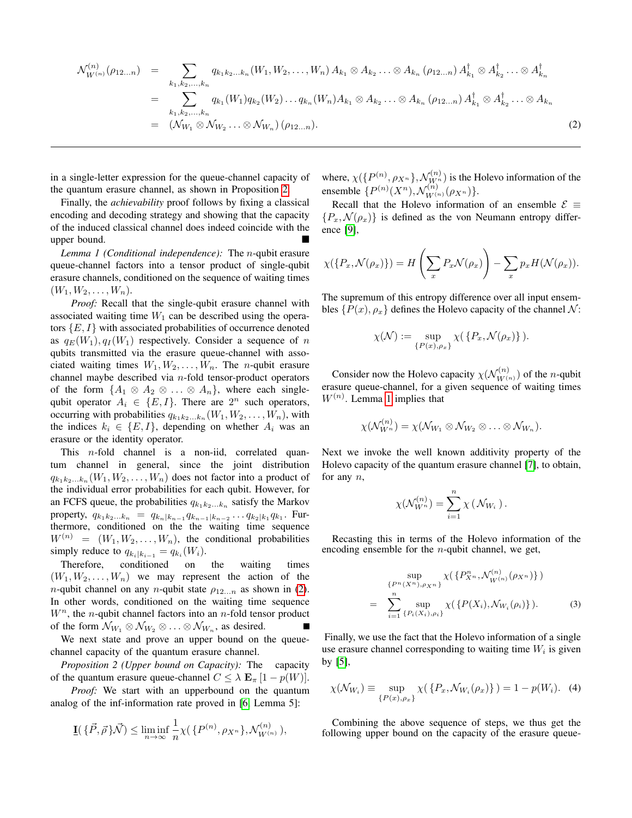<span id="page-3-2"></span>
$$
\mathcal{N}_{W^{(n)}}^{(n)}(\rho_{12...n}) = \sum_{k_1, k_2, ..., k_n} q_{k_1 k_2...k_n} (W_1, W_2, ..., W_n) A_{k_1} \otimes A_{k_2} ... \otimes A_{k_n} (\rho_{12...n}) A_{k_1}^{\dagger} \otimes A_{k_2}^{\dagger} ... \otimes A_{k_n}^{\dagger}
$$
  
\n
$$
= \sum_{k_1, k_2, ..., k_n} q_{k_1} (W_1) q_{k_2} (W_2) ... q_{k_n} (W_n) A_{k_1} \otimes A_{k_2} ... \otimes A_{k_n} (\rho_{12...n}) A_{k_1}^{\dagger} \otimes A_{k_2}^{\dagger} ... \otimes A_{k_n}
$$
  
\n
$$
= (\mathcal{N}_{W_1} \otimes \mathcal{N}_{W_2} ... \otimes \mathcal{N}_{W_n}) (\rho_{12...n}).
$$
\n(2)

in a single-letter expression for the queue-channel capacity of the quantum erasure channel, as shown in Proposition [2.](#page-3-1)

Finally, the *achievability* proof follows by fixing a classical encoding and decoding strategy and showing that the capacity of the induced classical channel does indeed coincide with the upper bound.

<span id="page-3-0"></span>*Lemma 1 (Conditional independence):* The n-qubit erasure queue-channel factors into a tensor product of single-qubit erasure channels, conditioned on the sequence of waiting times  $(W_1, W_2, \ldots, W_n).$ 

*Proof:* Recall that the single-qubit erasure channel with associated waiting time  $W_1$  can be described using the operators  $\{E, I\}$  with associated probabilities of occurrence denoted as  $q_E(W_1), q_I(W_1)$  respectively. Consider a sequence of n qubits transmitted via the erasure queue-channel with associated waiting times  $W_1, W_2, \ldots, W_n$ . The *n*-qubit erasure channel maybe described via  $n$ -fold tensor-product operators of the form  $\{A_1 \otimes A_2 \otimes \ldots \otimes A_n\}$ , where each singlequbit operator  $A_i \in \{E, I\}$ . There are  $2^n$  such operators, occurring with probabilities  $q_{k_1k_2...k_n}(W_1, W_2, ..., W_n)$ , with the indices  $k_i \in \{E, I\}$ , depending on whether  $A_i$  was an erasure or the identity operator.

This n-fold channel is a non-iid, correlated quantum channel in general, since the joint distribution  $q_{k_1k_2...k_n}(W_1, W_2, \ldots, W_n)$  does not factor into a product of the individual error probabilities for each qubit. However, for an FCFS queue, the probabilities  $q_{k_1 k_2...k_n}$  satisfy the Markov property,  $q_{k_1 k_2...k_n} = q_{k_n | k_{n-1}} q_{k_{n-1} | k_{n-2}} ... q_{k_2 | k_1} q_{k_1}$ . Furthermore, conditioned on the the waiting time sequence  $W^{(n)} = (W_1, W_2, \dots, W_n)$ , the conditional probabilities simply reduce to  $q_{k_i|k_{i-1}} = q_{k_i}(W_i)$ .

Therefore, conditioned on the waiting times  $(W_1, W_2, \ldots, W_n)$  we may represent the action of the *n*-qubit channel on any *n*-qubit state  $\rho_{12...n}$  as shown in [\(2\)](#page-3-2). In other words, conditioned on the waiting time sequence  $W<sup>n</sup>$ , the *n*-qubit channel factors into an *n*-fold tensor product of the form  $\mathcal{N}_{W_1} \otimes \mathcal{N}_{W_2} \otimes \ldots \otimes \mathcal{N}_{W_n}$ , as desired.

We next state and prove an upper bound on the queuechannel capacity of the quantum erasure channel.

*Proposition 2 (Upper bound on Capacity):* The capacity of the quantum erasure queue-channel  $C \leq \lambda \mathbf{E}_{\pi}$  [1 –  $p(W)$ ].

*Proof:* We start with an upperbound on the quantum analog of the inf-information rate proved in [\[6,](#page-5-5) Lemma 5]:

$$
\underline{\mathbf{I}}(\{\vec{P},\vec{\rho}\}\vec{\mathcal{N}}) \leq \liminf_{n \to \infty} \frac{1}{n} \chi(\{P^{(n)}, \rho_{X^n}\}, \mathcal{N}_{W^{(n)}}^{(n)}),
$$

where,  $\chi(\lbrace P^{(n)}, \rho_{X^n}\rbrace, \mathcal{N}_{W^n}^{(n)})$  is the Holevo information of the ensemble  $\{P^{(n)}(X^n), \mathcal{N}_{W^{(n)}}^{(n)}(\rho_{X^n})\}.$ 

Recall that the Holevo information of an ensemble  $\mathcal{E} \equiv$  ${P_x, \mathcal{N}(\rho_x)}$  is defined as the von Neumann entropy difference [\[9\]](#page-5-8),

$$
\chi(\lbrace P_x, \mathcal{N}(\rho_x) \rbrace) = H\left(\sum_x P_x \mathcal{N}(\rho_x)\right) - \sum_x p_x H(\mathcal{N}(\rho_x)).
$$

The supremum of this entropy difference over all input ensembles  $\{P(x), \rho_x\}$  defines the Holevo capacity of the channel  $\mathcal{N}$ :

$$
\chi(\mathcal{N}) := \sup_{\{P(x),\rho_x\}} \chi(\{P_x,\mathcal{N}(\rho_x)\}).
$$

Consider now the Holevo capacity  $\chi(\mathcal{N}_{W^{(n)}}^{(n)})$  of the *n*-qubit erasure queue-channel, for a given sequence of waiting times  $W^{(n)}$ . Lemma [1](#page-3-0) implies that

$$
\chi(\mathcal{N}_{W^n}^{(n)}) = \chi(\mathcal{N}_{W_1} \otimes \mathcal{N}_{W_2} \otimes \ldots \otimes \mathcal{N}_{W_n}).
$$

Next we invoke the well known additivity property of the Holevo capacity of the quantum erasure channel [\[7\]](#page-5-6), to obtain, for any  $n$ ,

$$
\chi(\mathcal{N}_{W^n}^{(n)}) = \sum_{i=1}^n \chi(\mathcal{N}_{W_i}).
$$

Recasting this in terms of the Holevo information of the encoding ensemble for the  $n$ -qubit channel, we get,

<span id="page-3-3"></span>
$$
\sup_{\{P^n(X^n), \rho_{X^n}\}} \chi(\{P_{X^n}^n, \mathcal{N}_{W^{(n)}}^{(n)}(\rho_{X^n})\})
$$
\n
$$
= \sum_{i=1}^n \sup_{\{P_i(X_i), \rho_i\}} \chi(\{P(X_i), \mathcal{N}_{W_i}(\rho_i)\}). \tag{3}
$$

<span id="page-3-1"></span>Finally, we use the fact that the Holevo information of a single use erasure channel corresponding to waiting time  $W_i$  is given by [\[5\]](#page-5-4),

<span id="page-3-4"></span>
$$
\chi(\mathcal{N}_{W_i}) \equiv \sup_{\{P(x),\rho_x\}} \chi(\{P_x, \mathcal{N}_{W_i}(\rho_x)\}) = 1 - p(W_i). \tag{4}
$$

Combining the above sequence of steps, we thus get the following upper bound on the capacity of the erasure queue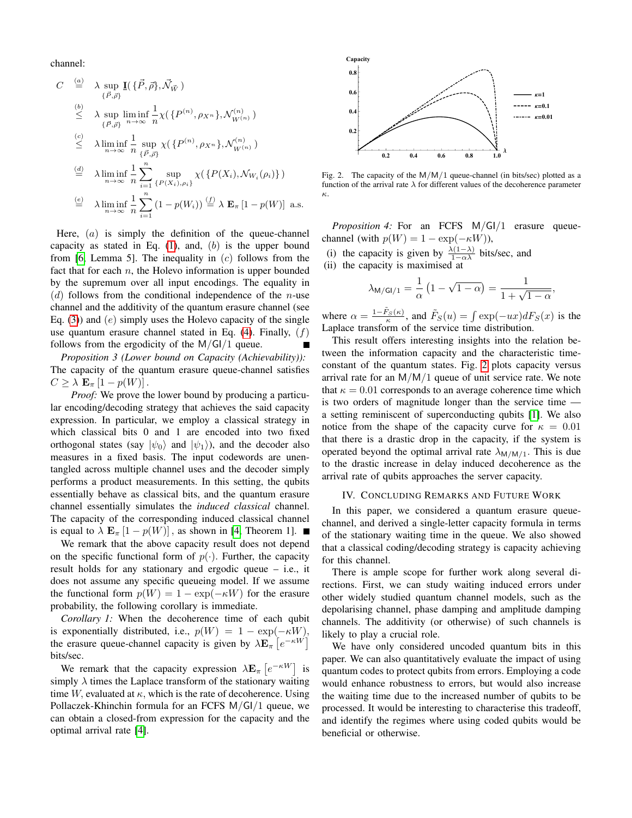channel:

$$
C \stackrel{\text{(a)}}{=} \lambda \sup_{\{\vec{P},\vec{\rho}\}} \underline{\mathbf{I}}(\{\vec{P},\vec{\rho}\},\vec{\mathcal{N}}_{\vec{W}})
$$
\n
$$
\stackrel{\text{(b)}}{\leq} \lambda \sup_{\{\vec{P},\vec{\rho}\}} \liminf_{n \to \infty} \frac{1}{n} \chi(\{P^{(n)}, \rho_{X^n}\}, \mathcal{N}_{W^{(n)}}^{(n)})
$$
\n
$$
\stackrel{\text{(c)}}{\leq} \lambda \liminf_{n \to \infty} \frac{1}{n} \sup_{\{\vec{P},\vec{\rho}\}} \chi(\{P^{(n)}, \rho_{X^n}\}, \mathcal{N}_{W^{(n)}}^{(n)})
$$
\n
$$
\stackrel{\text{(d)}}{=} \lambda \liminf_{n \to \infty} \frac{1}{n} \sum_{i=1}^n \sup_{\{P(X_i), \rho_i\}} \chi(\{P(X_i), \mathcal{N}_{W_i}(\rho_i)\})
$$
\n
$$
\stackrel{\text{(e)}}{=} \lambda \liminf_{n \to \infty} \frac{1}{n} \sum_{i=1}^n (1 - p(W_i)) \stackrel{\text{(f)}}{=} \lambda \mathbf{E}_{\pi} [1 - p(W)] \text{ a.s.}
$$

Here,  $(a)$  is simply the definition of the queue-channel capacity as stated in Eq.  $(1)$ , and,  $(b)$  is the upper bound from [\[6,](#page-5-5) Lemma 5]. The inequality in  $(c)$  follows from the fact that for each  $n$ , the Holevo information is upper bounded by the supremum over all input encodings. The equality in  $(d)$  follows from the conditional independence of the *n*-use channel and the additivity of the quantum erasure channel (see Eq. [\(3\)](#page-3-3)) and  $(e)$  simply uses the Holevo capacity of the single use quantum erasure channel stated in Eq.  $(4)$ . Finally,  $(f)$ follows from the ergodicity of the  $M/GI/1$  queue.

*Proposition 3 (Lower bound on Capacity (Achievability)):* The capacity of the quantum erasure queue-channel satisfies  $C \geq \lambda \mathbf{E}_{\pi} [1 - p(W)].$ 

*Proof:* We prove the lower bound by producing a particular encoding/decoding strategy that achieves the said capacity expression. In particular, we employ a classical strategy in which classical bits 0 and 1 are encoded into two fixed orthogonal states (say  $|\psi_0\rangle$  and  $|\psi_1\rangle$ ), and the decoder also measures in a fixed basis. The input codewords are unentangled across multiple channel uses and the decoder simply performs a product measurements. In this setting, the qubits essentially behave as classical bits, and the quantum erasure channel essentially simulates the *induced classical* channel. The capacity of the corresponding induced classical channel is equal to  $\lambda \mathbf{E}_{\pi}$  [1 – p(W)], as shown in [\[4,](#page-5-3) Theorem 1].

We remark that the above capacity result does not depend on the specific functional form of  $p(\cdot)$ . Further, the capacity result holds for any stationary and ergodic queue – i.e., it does not assume any specific queueing model. If we assume the functional form  $p(W) = 1 - \exp(-\kappa W)$  for the erasure probability, the following corollary is immediate.

*Corollary 1:* When the decoherence time of each qubit is exponentially distributed, i.e.,  $p(W) = 1 - \exp(-\kappa W)$ , the erasure queue-channel capacity is given by  $\lambda \mathbf{E}_{\pi}$   $\left[e^{-\kappa W}\right]$ bits/sec.

We remark that the capacity expression  $\lambda \mathbf{E}_{\pi} [e^{-\kappa W}]$  is simply  $\lambda$  times the Laplace transform of the stationary waiting time W, evaluated at  $\kappa$ , which is the rate of decoherence. Using Pollaczek-Khinchin formula for an FCFS M/GI/1 queue, we can obtain a closed-from expression for the capacity and the optimal arrival rate [\[4\]](#page-5-3).



<span id="page-4-0"></span>Fig. 2. The capacity of the M/M/1 queue-channel (in bits/sec) plotted as a function of the arrival rate  $\lambda$  for different values of the decoherence parameter κ.

*Proposition 4:* For an FCFS M/GI/1 erasure queuechannel (with  $p(W) = 1 - \exp(-\kappa W)$ ),

(i) the capacity is given by  $\frac{\lambda(1-\lambda)}{1-\alpha\lambda}$  bits/sec, and

(ii) the capacity is maximised at

$$
\lambda_{\mathsf{M}/\mathsf{GI}/1} = \frac{1}{\alpha} \left( 1 - \sqrt{1 - \alpha} \right) = \frac{1}{1 + \sqrt{1 - \alpha}},
$$

where  $\alpha = \frac{1-\tilde{F}_S(\kappa)}{\kappa}$ , and  $\tilde{F}_S(u) = \int \exp(-ux)dF_S(x)$  is the Laplace transform of the service time distribution.

This result offers interesting insights into the relation between the information capacity and the characteristic timeconstant of the quantum states. Fig. [2](#page-4-0) plots capacity versus arrival rate for an  $M/M/1$  queue of unit service rate. We note that  $\kappa = 0.01$  corresponds to an average coherence time which is two orders of magnitude longer than the service time a setting reminiscent of superconducting qubits [\[1\]](#page-5-0). We also notice from the shape of the capacity curve for  $\kappa = 0.01$ that there is a drastic drop in the capacity, if the system is operated beyond the optimal arrival rate  $\lambda_{M/M/1}$ . This is due to the drastic increase in delay induced decoherence as the arrival rate of qubits approaches the server capacity.

#### IV. CONCLUDING REMARKS AND FUTURE WORK

In this paper, we considered a quantum erasure queuechannel, and derived a single-letter capacity formula in terms of the stationary waiting time in the queue. We also showed that a classical coding/decoding strategy is capacity achieving for this channel.

There is ample scope for further work along several directions. First, we can study waiting induced errors under other widely studied quantum channel models, such as the depolarising channel, phase damping and amplitude damping channels. The additivity (or otherwise) of such channels is likely to play a crucial role.

We have only considered uncoded quantum bits in this paper. We can also quantitatively evaluate the impact of using quantum codes to protect qubits from errors. Employing a code would enhance robustness to errors, but would also increase the waiting time due to the increased number of qubits to be processed. It would be interesting to characterise this tradeoff, and identify the regimes where using coded qubits would be beneficial or otherwise.